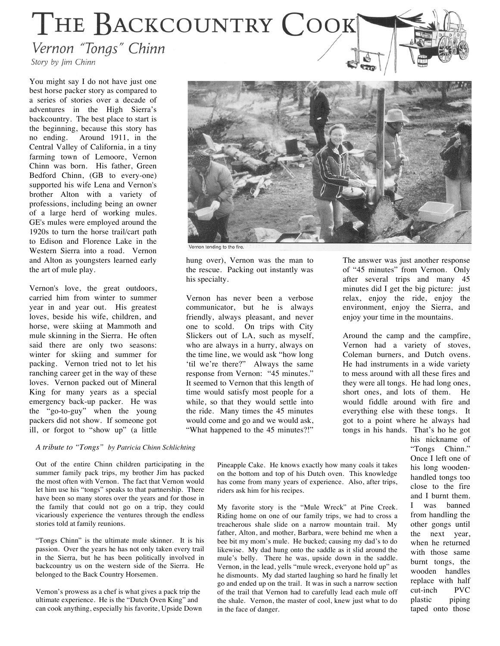## THE BACKCOUNTRY COOK

Vernon "Tongs" Chinn

Story by Jim Chinn

You might say I do not have just one best horse packer story as compared to a series of stories over a decade of adventures in the High Sierra's backcountry. The best place to start is the beginning, because this story has no ending. Around 1911, in the Central Valley of California, in a tiny farming town of Lemoore, Vernon Chinn was born. His father, Green Bedford Chinn, (GB to every-one) supported his wife Lena and Vernon's brother Alton with a variety of professions, including being an owner of a large herd of working mules. GE's mules were employed around the 1920s to turn the horse trail/cart path to Edison and Florence Lake in the Western Sierra into a road. Vernon and Alton as youngsters learned early the art of mule play.

Vernon's love, the great outdoors, carried him from winter to summer year in and year out. His greatest loves, beside his wife, children, and horse, were skiing at Mammoth and mule skinning in the Sierra. He often said there are only two seasons: winter for skiing and summer for packing. Vernon tried not to let his ranching career get in the way of these loves. Vernon packed out of Mineral King for many years as a special emergency back-up packer. He was the "go-to-guy" when the young packers did not show. If someone got ill, or forgot to "show up" (a little

*A tribute to "Tongs" by Patricia Chinn Schlichting*

Out of the entire Chinn children participating in the summer family pack trips, my brother Jim has packed the most often with Vernon. The fact that Vernon would let him use his "tongs" speaks to that partnership. There have been so many stores over the years and for those in the family that could not go on a trip, they could vicariously experience the ventures through the endless stories told at family reunions.

"Tongs Chinn" is the ultimate mule skinner. It is his passion. Over the years he has not only taken every trail in the Sierra, but he has been politically involved in backcountry us on the western side of the Sierra. He belonged to the Back Country Horsemen.

Vernon's prowess as a chef is what gives a pack trip the ultimate experience. He is the "Dutch Oven King" and can cook anything, especially his favorite, Upside Down

on the bottom and top of his Dutch oven. This knowledge has come from many years of experience. Also, after trips, riders ask him for his recipes. My favorite story is the "Mule Wreck" at Pine Creek.

Pineapple Cake. He knows exactly how many coals it takes

Riding home on one of our family trips, we had to cross a treacherous shale slide on a narrow mountain trail. My father, Alton, and mother, Barbara, were behind me when a bee bit my mom's mule. He bucked; causing my dad's to do likewise. My dad hung onto the saddle as it slid around the mule's belly. There he was, upside down in the saddle. Vernon, in the lead, yells "mule wreck, everyone hold up" as he dismounts. My dad started laughing so hard he finally let go and ended up on the trail. It was in such a narrow section of the trail that Vernon had to carefully lead each mule off the shale. Vernon, the master of cool, knew just what to do in the face of danger.

The answer was just another response of "45 minutes" from Vernon. Only after several trips and many 45 minutes did I get the big picture: just relax, enjoy the ride, enjoy the environment, enjoy the Sierra, and enjoy your time in the mountains.

Around the camp and the campfire, Vernon had a variety of stoves, Coleman burners, and Dutch ovens. He had instruments in a wide variety to mess around with all these fires and they were all tongs. He had long ones, short ones, and lots of them. He would fiddle around with fire and everything else with these tongs. It got to a point where he always had tongs in his hands. That's ho he got

his nickname of "Tongs Chinn." Once I left one of his long woodenhandled tongs too close to the fire and I burnt them. I was banned from handling the other gongs until the next year, when he returned with those same burnt tongs, the wooden handles replace with half cut-inch PVC plastic piping taped onto those



ernon tending to the fire

hung over), Vernon was the man to the rescue. Packing out instantly was his specialty.

Vernon has never been a verbose communicator, but he is always friendly, always pleasant, and never one to scold. On trips with City Slickers out of LA, such as myself, who are always in a hurry, always on the time line, we would ask "how long 'til we're there?" Always the same response from Vernon: "45 minutes." It seemed to Vernon that this length of time would satisfy most people for a while, so that they would settle into the ride. Many times the 45 minutes would come and go and we would ask, "What happened to the 45 minutes?!"